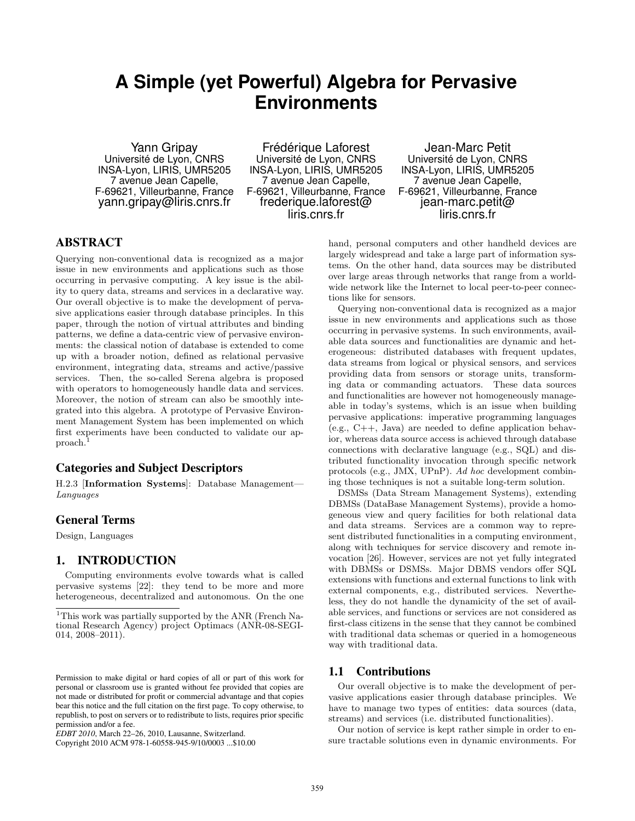# **A Simple (yet Powerful) Algebra for Pervasive Environments**

Yann Gripay Université de Lyon, CNRS INSA-Lyon, LIRIS, UMR5205 7 avenue Jean Capelle, F-69621, Villeurbanne, France yann.gripay@liris.cnrs.fr

Frédérique Laforest Université de Lyon, CNRS INSA-Lyon, LIRIS, UMR5205 7 avenue Jean Capelle, F-69621, Villeurbanne, France frederique.laforest@ liris.cnrs.fr

Jean-Marc Petit Université de Lyon, CNRS INSA-Lyon, LIRIS, UMR5205 7 avenue Jean Capelle, F-69621, Villeurbanne, France jean-marc.petit@ liris.cnrs.fr

# ABSTRACT

Querying non-conventional data is recognized as a major issue in new environments and applications such as those occurring in pervasive computing. A key issue is the ability to query data, streams and services in a declarative way. Our overall objective is to make the development of pervasive applications easier through database principles. In this paper, through the notion of virtual attributes and binding patterns, we define a data-centric view of pervasive environments: the classical notion of database is extended to come up with a broader notion, defined as relational pervasive environment, integrating data, streams and active/passive services. Then, the so-called Serena algebra is proposed with operators to homogeneously handle data and services. Moreover, the notion of stream can also be smoothly integrated into this algebra. A prototype of Pervasive Environment Management System has been implemented on which first experiments have been conducted to validate our approach.<sup>1</sup>

## Categories and Subject Descriptors

H.2.3 [Information Systems]: Database Management— Languages

#### General Terms

Design, Languages

#### 1. INTRODUCTION

Computing environments evolve towards what is called pervasive systems [22]: they tend to be more and more heterogeneous, decentralized and autonomous. On the one

Copyright 2010 ACM 978-1-60558-945-9/10/0003 ...\$10.00

hand, personal computers and other handheld devices are largely widespread and take a large part of information systems. On the other hand, data sources may be distributed over large areas through networks that range from a worldwide network like the Internet to local peer-to-peer connections like for sensors.

Querying non-conventional data is recognized as a major issue in new environments and applications such as those occurring in pervasive systems. In such environments, available data sources and functionalities are dynamic and heterogeneous: distributed databases with frequent updates, data streams from logical or physical sensors, and services providing data from sensors or storage units, transforming data or commanding actuators. These data sources and functionalities are however not homogeneously manageable in today's systems, which is an issue when building pervasive applications: imperative programming languages (e.g., C++, Java) are needed to define application behavior, whereas data source access is achieved through database connections with declarative language (e.g., SQL) and distributed functionality invocation through specific network protocols (e.g., JMX, UPnP). Ad hoc development combining those techniques is not a suitable long-term solution.

DSMSs (Data Stream Management Systems), extending DBMSs (DataBase Management Systems), provide a homogeneous view and query facilities for both relational data and data streams. Services are a common way to represent distributed functionalities in a computing environment, along with techniques for service discovery and remote invocation [26]. However, services are not yet fully integrated with DBMSs or DSMSs. Major DBMS vendors offer SQL extensions with functions and external functions to link with external components, e.g., distributed services. Nevertheless, they do not handle the dynamicity of the set of available services, and functions or services are not considered as first-class citizens in the sense that they cannot be combined with traditional data schemas or queried in a homogeneous way with traditional data.

#### 1.1 Contributions

Our overall objective is to make the development of pervasive applications easier through database principles. We have to manage two types of entities: data sources (data, streams) and services (i.e. distributed functionalities).

Our notion of service is kept rather simple in order to ensure tractable solutions even in dynamic environments. For

<sup>&</sup>lt;sup>1</sup>This work was partially supported by the ANR (French National Research Agency) project Optimacs (ANR-08-SEGI-014, 2008–2011).

Permission to make digital or hard copies of all or part of this work for personal or classroom use is granted without fee provided that copies are not made or distributed for profit or commercial advantage and that copies bear this notice and the full citation on the first page. To copy otherwise, to republish, to post on servers or to redistribute to lists, requires prior specific permission and/or a fee.

*EDBT 2010*, March 22–26, 2010, Lausanne, Switzerland.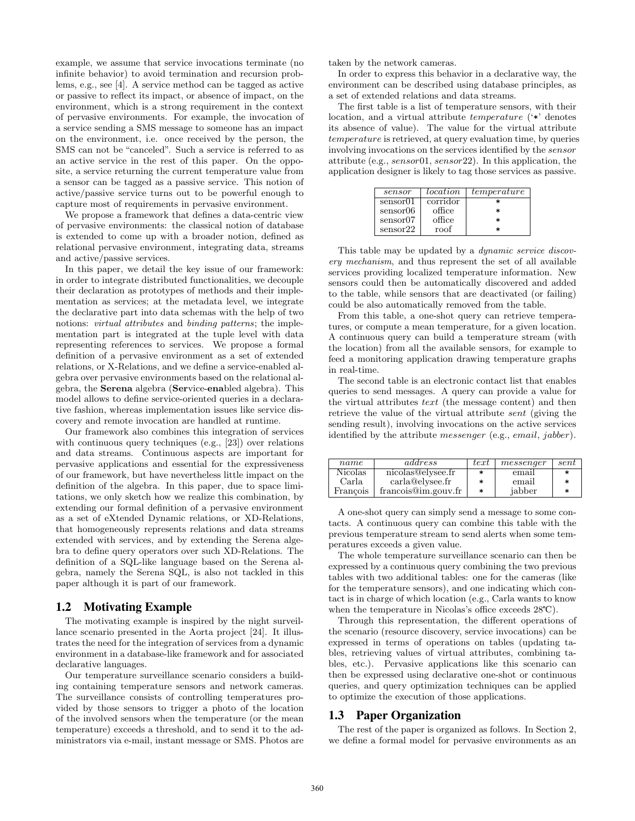example, we assume that service invocations terminate (no infinite behavior) to avoid termination and recursion problems, e.g., see [4]. A service method can be tagged as active or passive to reflect its impact, or absence of impact, on the environment, which is a strong requirement in the context of pervasive environments. For example, the invocation of a service sending a SMS message to someone has an impact on the environment, i.e. once received by the person, the SMS can not be "canceled". Such a service is referred to as an active service in the rest of this paper. On the opposite, a service returning the current temperature value from a sensor can be tagged as a passive service. This notion of active/passive service turns out to be powerful enough to capture most of requirements in pervasive environment.

We propose a framework that defines a data-centric view of pervasive environments: the classical notion of database is extended to come up with a broader notion, defined as relational pervasive environment, integrating data, streams and active/passive services.

In this paper, we detail the key issue of our framework: in order to integrate distributed functionalities, we decouple their declaration as prototypes of methods and their implementation as services; at the metadata level, we integrate the declarative part into data schemas with the help of two notions: *virtual attributes* and *binding patterns*; the implementation part is integrated at the tuple level with data representing references to services. We propose a formal definition of a pervasive environment as a set of extended relations, or X-Relations, and we define a service-enabled algebra over pervasive environments based on the relational algebra, the Serena algebra (Service-enabled algebra). This model allows to define service-oriented queries in a declarative fashion, whereas implementation issues like service discovery and remote invocation are handled at runtime.

Our framework also combines this integration of services with continuous query techniques (e.g., [23]) over relations and data streams. Continuous aspects are important for pervasive applications and essential for the expressiveness of our framework, but have nevertheless little impact on the definition of the algebra. In this paper, due to space limitations, we only sketch how we realize this combination, by extending our formal definition of a pervasive environment as a set of eXtended Dynamic relations, or XD-Relations, that homogeneously represents relations and data streams extended with services, and by extending the Serena algebra to define query operators over such XD-Relations. The definition of a SQL-like language based on the Serena algebra, namely the Serena SQL, is also not tackled in this paper although it is part of our framework.

#### 1.2 Motivating Example

The motivating example is inspired by the night surveillance scenario presented in the Aorta project [24]. It illustrates the need for the integration of services from a dynamic environment in a database-like framework and for associated declarative languages.

Our temperature surveillance scenario considers a building containing temperature sensors and network cameras. The surveillance consists of controlling temperatures provided by those sensors to trigger a photo of the location of the involved sensors when the temperature (or the mean temperature) exceeds a threshold, and to send it to the administrators via e-mail, instant message or SMS. Photos are taken by the network cameras.

In order to express this behavior in a declarative way, the environment can be described using database principles, as a set of extended relations and data streams.

The first table is a list of temperature sensors, with their location, and a virtual attribute temperature ('\*' denotes its absence of value). The value for the virtual attribute temperature is retrieved, at query evaluation time, by queries involving invocations on the services identified by the sensor attribute (e.g., sensor01, sensor22). In this application, the application designer is likely to tag those services as passive.

| sensor   | location | temperature |
|----------|----------|-------------|
| sensor01 | corridor |             |
| sensor06 | office   | *           |
| sensor07 | office   | *           |
| sensor22 | roof     |             |

This table may be updated by a *dynamic service discov*ery mechanism, and thus represent the set of all available services providing localized temperature information. New sensors could then be automatically discovered and added to the table, while sensors that are deactivated (or failing) could be also automatically removed from the table.

From this table, a one-shot query can retrieve temperatures, or compute a mean temperature, for a given location. A continuous query can build a temperature stream (with the location) from all the available sensors, for example to feed a monitoring application drawing temperature graphs in real-time.

The second table is an electronic contact list that enables queries to send messages. A query can provide a value for the virtual attributes text (the message content) and then retrieve the value of the virtual attribute sent (giving the sending result), involving invocations on the active services identified by the attribute *messenger* (e.g., *email*, *jabber*).

| name           | address             | text   | messenqer | sent   |
|----------------|---------------------|--------|-----------|--------|
| <b>Nicolas</b> | nicolas@elysee.fr   | *      | email     |        |
| Carla          | carla@elysee.fr     | *      | email     | $\ast$ |
| Francois       | francois@im.gouv.fr | $\ast$ | jabber    | *      |

A one-shot query can simply send a message to some contacts. A continuous query can combine this table with the previous temperature stream to send alerts when some temperatures exceeds a given value.

The whole temperature surveillance scenario can then be expressed by a continuous query combining the two previous tables with two additional tables: one for the cameras (like for the temperature sensors), and one indicating which contact is in charge of which location (e.g., Carla wants to know when the temperature in Nicolas's office exceeds  $28^{\circ}\text{C}$ .

Through this representation, the different operations of the scenario (resource discovery, service invocations) can be expressed in terms of operations on tables (updating tables, retrieving values of virtual attributes, combining tables, etc.). Pervasive applications like this scenario can then be expressed using declarative one-shot or continuous queries, and query optimization techniques can be applied to optimize the execution of those applications.

#### 1.3 Paper Organization

The rest of the paper is organized as follows. In Section 2, we define a formal model for pervasive environments as an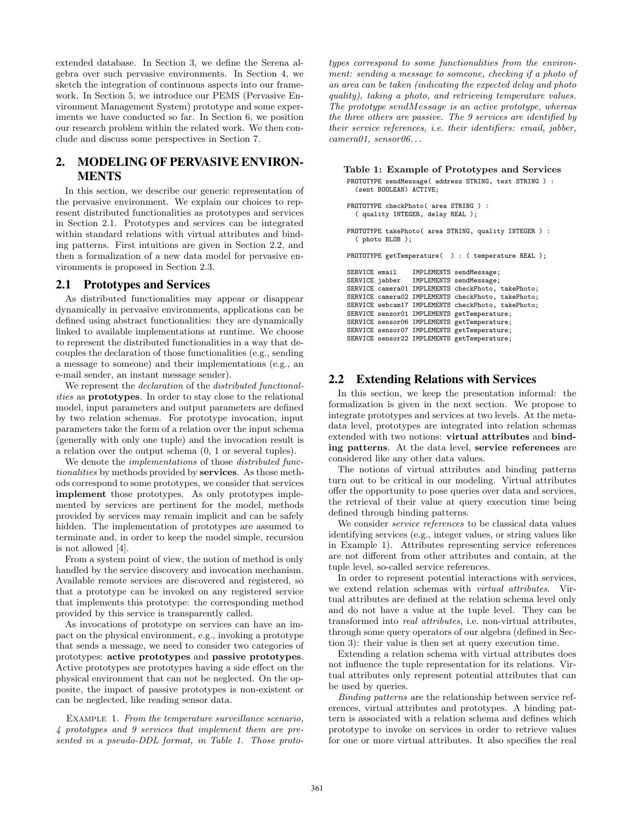extended database. In Section 3, we define the Serena algebra over such pervasive environments. In Section 4, we sketch the integration of continuous aspects into our framework. In Section 5, we introduce our PEMS (Pervasive Environment Management System) prototype and some experiments we have conducted so far. In Section 6, we position our research problem within the related work. We then conclude and discuss some perspectives in Section 7.

# 2. MODELING OF PERVASIVE ENVIRON-MENTS

In this section, we describe our generic representation of the pervasive environment. We explain our choices to represent distributed functionalities as prototypes and services in Section 2.1. Prototypes and services can be integrated within standard relations with virtual attributes and binding patterns. First intuitions are given in Section 2.2, and then a formalization of a new data model for pervasive environments is proposed in Section 2.3.

## 2.1 Prototypes and Services

As distributed functionalities may appear or disappear dynamically in pervasive environments, applications can be defined using abstract functionalities: they are dynamically linked to available implementations at runtime. We choose to represent the distributed functionalities in a way that decouples the declaration of those functionalities (e.g., sending a message to someone) and their implementations (e.g., an e-mail sender, an instant message sender).

We represent the declaration of the distributed functionalities as prototypes. In order to stay close to the relational model, input parameters and output parameters are defined by two relation schemas. For prototype invocation, input parameters take the form of a relation over the input schema (generally with only one tuple) and the invocation result is a relation over the output schema (0, 1 or several tuples).

We denote the *implementations* of those *distributed func*tionalities by methods provided by services. As those methods correspond to some prototypes, we consider that services implement those prototypes. As only prototypes implemented by services are pertinent for the model, methods provided by services may remain implicit and can be safely hidden. The implementation of prototypes are assumed to terminate and, in order to keep the model simple, recursion is not allowed [4].

From a system point of view, the notion of method is only handled by the service discovery and invocation mechanism. Available remote services are discovered and registered, so that a prototype can be invoked on any registered service that implements this prototype: the corresponding method provided by this service is transparently called.

As invocations of prototype on services can have an impact on the physical environment, e.g., invoking a prototype that sends a message, we need to consider two categories of prototypes: active prototypes and passive prototypes. Active prototypes are prototypes having a side effect on the physical environment that can not be neglected. On the opposite, the impact of passive prototypes is non-existent or can be neglected, like reading sensor data.

Example 1. From the temperature surveillance scenario, 4 prototypes and 9 services that implement them are presented in a pseudo-DDL format, in Table 1. Those prototypes correspond to some functionalities from the environment: sending a message to someone, checking if a photo of an area can be taken (indicating the expected delay and photo quality), taking a photo, and retrieving temperature values. The prototype sendMessage is an active prototype, whereas the three others are passive. The 9 services are identified by their service references, i.e. their identifiers: email, jabber,  $camen01, sensor06...$ 

#### Table 1: Example of Prototypes and Services

PROTOTYPE sendMessage( address STRING, text STRING ) : (sent BOOLEAN) ACTIVE;

```
PROTOTYPE checkPhoto( area STRING ) :
  ( quality INTEGER, delay REAL );
```
PROTOTYPE takePhoto( area STRING, quality INTEGER ) : ( photo BLOB );

PROTOTYPE getTemperature( ) : ( temperature REAL );

SERVICE email IMPLEMENTS sendMessage; SERVICE jabber IMPLEMENTS sendMessage; SERVICE camera01 IMPLEMENTS checkPhoto, takePhoto; SERVICE camera02 IMPLEMENTS checkPhoto, takePhoto; SERVICE webcam17 IMPLEMENTS checkPhoto, takePhoto; SERVICE sensor01 IMPLEMENTS getTemperature; SERVICE sensor06 IMPLEMENTS getTemperature; SERVICE sensor07 IMPLEMENTS getTemperature; SERVICE sensor22 IMPLEMENTS getTemperature;

#### 2.2 Extending Relations with Services

In this section, we keep the presentation informal: the formalization is given in the next section. We propose to integrate prototypes and services at two levels. At the metadata level, prototypes are integrated into relation schemas extended with two notions: virtual attributes and binding patterns. At the data level, service references are considered like any other data values.

The notions of virtual attributes and binding patterns turn out to be critical in our modeling. Virtual attributes offer the opportunity to pose queries over data and services, the retrieval of their value at query execution time being defined through binding patterns.

We consider service references to be classical data values identifying services (e.g., integer values, or string values like in Example 1). Attributes representing service references are not different from other attributes and contain, at the tuple level, so-called service references.

In order to represent potential interactions with services, we extend relation schemas with virtual attributes. Virtual attributes are defined at the relation schema level only and do not have a value at the tuple level. They can be transformed into real attributes, i.e. non-virtual attributes, through some query operators of our algebra (defined in Section 3): their value is then set at query execution time.

Extending a relation schema with virtual attributes does not influence the tuple representation for its relations. Virtual attributes only represent potential attributes that can be used by queries.

Binding patterns are the relationship between service references, virtual attributes and prototypes. A binding pattern is associated with a relation schema and defines which prototype to invoke on services in order to retrieve values for one or more virtual attributes. It also specifies the real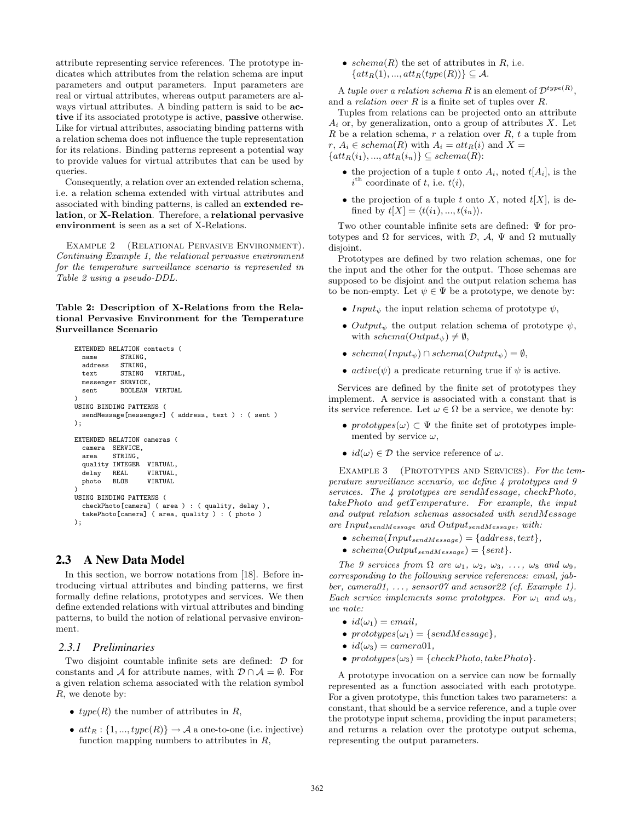attribute representing service references. The prototype indicates which attributes from the relation schema are input parameters and output parameters. Input parameters are real or virtual attributes, whereas output parameters are always virtual attributes. A binding pattern is said to be active if its associated prototype is active, passive otherwise. Like for virtual attributes, associating binding patterns with a relation schema does not influence the tuple representation for its relations. Binding patterns represent a potential way to provide values for virtual attributes that can be used by queries.

Consequently, a relation over an extended relation schema, i.e. a relation schema extended with virtual attributes and associated with binding patterns, is called an extended relation, or X-Relation. Therefore, a relational pervasive environment is seen as a set of X-Relations.

Example 2 (Relational Pervasive Environment). Continuing Example 1, the relational pervasive environment for the temperature surveillance scenario is represented in Table 2 using a pseudo-DDL.

Table 2: Description of X-Relations from the Relational Pervasive Environment for the Temperature Surveillance Scenario

```
EXTENDED RELATION contacts (<br>name STRING.
            STRING
  address STRING,<br>text STRING
                      VIRTUAL,
 messenger SERVICE,
  sent BOOLEAN VIRTUAL
)
USING BINDING PATTERNS (
 sendMessage[messenger] ( address, text ) : ( sent )
);
EXTENDED RELATION cameras (
  camera SERVICE,
  area STRING,
  quality INTEGER VIRTUAL,
  delay REAL VIRTUAL,
 photo BLOB VIRTUAL
)
USING BINDING PATTERNS (
  checkPhoto[camera] ( area ) : ( quality, delay ),
  takePhoto[camera] ( area, quality ) : ( photo )
);
```
## 2.3 A New Data Model

In this section, we borrow notations from [18]. Before introducing virtual attributes and binding patterns, we first formally define relations, prototypes and services. We then define extended relations with virtual attributes and binding patterns, to build the notion of relational pervasive environment.

#### *2.3.1 Preliminaries*

Two disjoint countable infinite sets are defined: D for constants and A for attribute names, with  $\mathcal{D} \cap \mathcal{A} = \emptyset$ . For a given relation schema associated with the relation symbol R, we denote by:

- $type(R)$  the number of attributes in R,
- $att_R: \{1, ..., type(R)\} \rightarrow \mathcal{A}$  a one-to-one (i.e. injective) function mapping numbers to attributes in  $R$ ,

• schema $(R)$  the set of attributes in  $R$ , i.e.  $\{att_R(1), ..., att_R(type(R))\} \subseteq \mathcal{A}.$ 

A tuple over a relation schema R is an element of  $\mathcal{D}^{type(R)}$ , and a *relation over*  $R$  is a finite set of tuples over  $R$ .

Tuples from relations can be projected onto an attribute  $A_i$  or, by generalization, onto a group of attributes X. Let R be a relation schema, r a relation over R, t a tuple from r,  $A_i \in schema(R)$  with  $A_i = att_B(i)$  and  $X =$  $\{att_R(i_1), ..., att_R(i_n)\} \subseteq schema(R)$ :

- the projection of a tuple t onto  $A_i$ , noted  $t[A_i]$ , is the  $i^{\text{th}}$  coordinate of t, i.e.  $t(i)$ ,
- the projection of a tuple t onto X, noted  $t[X]$ , is defined by  $t[X] = \langle t(i_1), ..., t(i_n)\rangle$ .

Two other countable infinite sets are defined: Ψ for prototypes and  $\Omega$  for services, with  $\mathcal{D}, \mathcal{A}, \Psi$  and  $\Omega$  mutually disjoint.

Prototypes are defined by two relation schemas, one for the input and the other for the output. Those schemas are supposed to be disjoint and the output relation schema has to be non-empty. Let  $\psi \in \Psi$  be a prototype, we denote by:

- Input<sub> $\psi$ </sub> the input relation schema of prototype  $\psi$ ,
- $Output_{\psi}$  the output relation schema of prototype  $\psi$ , with  $schema(Output_{\psi}) \neq \emptyset$ ,
- schema( $Input_{\psi}$ ) ∩ schema( $Output_{\psi}$ ) =  $\emptyset$ ,
- $active(\psi)$  a predicate returning true if  $\psi$  is active.

Services are defined by the finite set of prototypes they implement. A service is associated with a constant that is its service reference. Let  $\omega \in \Omega$  be a service, we denote by:

- prototypes $(\omega) \subset \Psi$  the finite set of prototypes implemented by service  $\omega$ ,
- $id(\omega) \in \mathcal{D}$  the service reference of  $\omega$ .

EXAMPLE 3 (PROTOTYPES AND SERVICES). For the temperature surveillance scenario, we define 4 prototypes and 9 services. The  $\downarrow$  prototypes are sendMessage, checkPhoto, takePhoto and getTemperature. For example, the input and output relation schemas associated with sendMessage are InputsendMessage and OutputsendMessage, with:

- schema(Input<sub>sendMessage</sub>) = {address, text},
- schema( $Output_{sendMessage}$ ) = {sent}.

The 9 services from  $\Omega$  are  $\omega_1$ ,  $\omega_2$ ,  $\omega_3$ , ...,  $\omega_8$  and  $\omega_9$ , corresponding to the following service references: email, jabber, camera $01, \ldots$ , sensor $07$  and sensor $22$  (cf. Example 1). Each service implements some prototypes. For  $\omega_1$  and  $\omega_3$ ,  $we note.$ 

- $id(\omega_1) = email,$
- prototypes $(\omega_1) = \{sendMessage\},\$
- $id(\omega_3) = camera01$ ,
- $prototypes(\omega_3) = \{checkPhoto, takePhoto\}.$

A prototype invocation on a service can now be formally represented as a function associated with each prototype. For a given prototype, this function takes two parameters: a constant, that should be a service reference, and a tuple over the prototype input schema, providing the input parameters; and returns a relation over the prototype output schema, representing the output parameters.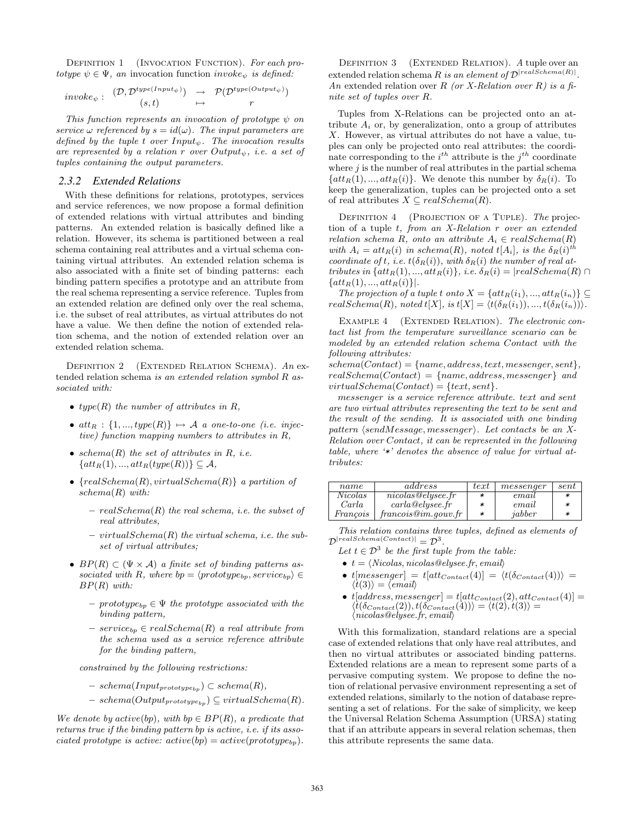DEFINITION 1 (INVOCATION FUNCTION). For each prototype  $\psi \in \Psi$ , an invocation function invoke<sub> $\psi$ </sub> is defined:

$$
\begin{array}{rcl}\n\textit{invoke}_{\psi} : & (\mathcal{D}, \mathcal{D}^{\textit{type}(\textit{Input}_{\psi})}) \rightarrow \mathcal{P}(\mathcal{D}^{\textit{type}(\textit{Output}_{\psi})}) \\
(s, t) \rightarrow r\n\end{array}
$$

This function represents an invocation of prototype  $\psi$  on service  $\omega$  referenced by  $s = id(\omega)$ . The input parameters are defined by the tuple t over  $Input_{\psi}$ . The invocation results are represented by a relation r over  $Output_{\psi}$ , i.e. a set of tuples containing the output parameters.

#### *2.3.2 Extended Relations*

With these definitions for relations, prototypes, services and service references, we now propose a formal definition of extended relations with virtual attributes and binding patterns. An extended relation is basically defined like a relation. However, its schema is partitioned between a real schema containing real attributes and a virtual schema containing virtual attributes. An extended relation schema is also associated with a finite set of binding patterns: each binding pattern specifies a prototype and an attribute from the real schema representing a service reference. Tuples from an extended relation are defined only over the real schema, i.e. the subset of real attributes, as virtual attributes do not have a value. We then define the notion of extended relation schema, and the notion of extended relation over an extended relation schema.

DEFINITION 2 (EXTENDED RELATION SCHEMA).  $An$  extended relation schema is an extended relation symbol R associated with:

- type(R) the number of attributes in  $R$ ,
- $att_R : \{1, ..., type(R)\} \mapsto \mathcal{A}$  a one-to-one (i.e. injective) function mapping numbers to attributes in R,
- schema $(R)$  the set of attributes in  $R$ , *i.e.*  $\{att_R(1),...,att_R(type(R))\}\subseteq \mathcal{A},$
- ${realSchema(R), virtualSchema(R)}$  a partition of  $schema(R)$  with:
	- $real Schema(R)$  the real schema, i.e. the subset of real attributes,
	- $virtualSchema(R)$  the virtual schema, i.e. the subset of virtual attributes;
- $BP(R) \subset (\Psi \times \mathcal{A})$  a finite set of binding patterns associated with R, where  $bp = \langle prototype_{bp}, service_{bp} \rangle \in$  $BP(R)$  with:
	- $–\,prototype_{bp} \in \Psi$  the prototype associated with the binding pattern,
	- $-$  service<sub>bp</sub>  $\in$  realSchema(R) a real attribute from the schema used as a service reference attribute for the binding pattern,

constrained by the following restrictions:

- $\schema(Input_{prototype_{bn}}) \subset \schema(R),$
- $-$  schema( $Output_{prototype_{bp}} \subseteq virtualSchema(R)$ .

We denote by active(bp), with bp  $\in BP(R)$ , a predicate that returns true if the binding pattern bp is active, i.e. if its associated prototype is active:  $active(bp) = active(prototype_{bp})$ .

DEFINITION 3 (EXTENDED RELATION). A tuple over an extended relation schema R is an element of  $\mathcal{D}^{[realSchema(R)]}$ . An extended relation over R (or X-Relation over R) is a finite set of tuples over R.

Tuples from X-Relations can be projected onto an attribute  $A_i$  or, by generalization, onto a group of attributes X. However, as virtual attributes do not have a value, tuples can only be projected onto real attributes: the coordinate corresponding to the  $i^{th}$  attribute is the  $j^{th}$  coordinate where  $j$  is the number of real attributes in the partial schema  $\{att_R(1),...,att_R(i)\}.$  We denote this number by  $\delta_R(i)$ . To keep the generalization, tuples can be projected onto a set of real attributes  $X \subseteq realSchema(R)$ .

DEFINITION 4 (PROJECTION OF A TUPLE). The projection of a tuple t, from an X-Relation r over an extended relation schema R, onto an attribute  $A_i \in realSchema(R)$ with  $A_i = att_R(i)$  in schema(R), noted  $t[A_i]$ , is the  $\delta_R(i)$ <sup>th</sup> coordinate of t, i.e.  $t(\delta_R(i))$ , with  $\delta_R(i)$  the number of real attributes in  $\{att_R(1),...,att_R(i)\}, i.e. \delta_R(i) = |realSchema(R) \cap$  $\{att_R(1), ..., att_R(i)\}\right].$ 

The projection of a tuple t onto  $X = \{att_R(i_1), ..., att_R(i_n)\} \subseteq$  $realSchema(R)$ , noted  $t[X]$ , is  $t[X] = \langle t(\delta_R(i_1)), ..., t(\delta_R(i_n)) \rangle$ .

EXAMPLE 4 (EXTENDED RELATION). The electronic contact list from the temperature surveillance scenario can be modeled by an extended relation schema Contact with the following attributes:

 $schema(Context) = {name, address, text, message, sent},$  $realSchema(Context) = {name, address, messenger}$  and  $virtualSchema(Context) = {text, sent}.$ 

messenger is a service reference attribute. text and sent are two virtual attributes representing the text to be sent and the result of the sending. It is associated with one binding pattern  $\langle sendMessage, messenger \rangle$ . Let contacts be an X-Relation over Contact, it can be represented in the following table, where '\*' denotes the absence of value for virtual attributes:

| name     | address            | text | messenqer | sent |
|----------|--------------------|------|-----------|------|
| Nicolas  | nicolas@elusee.fr  | *    | email     |      |
| Carla    | $carla$ @elysee.fr | *    | email     |      |
| Francois | francois@im.gov.fr | *    | jabber    |      |

This relation contains three tuples, defined as elements of  $\mathcal{D}^{|realSchema(Contact)|} = \mathcal{D}^3.$ 

- Let  $t \in \mathcal{D}^3$  be the first tuple from the table:
- $t = \langle Nicolas, nicolas@elysee.fr, email \rangle$
- $t[message] = t[att_{Context}(4)] = \langle t(\delta_{Context}(4)) \rangle =$  $\langle t(3)\rangle = \langle email\rangle$
- $t[address, messenger] = t[att_{Context}(2), att_{Context}(4)] =$  $\langle t(\delta_{Concat}(2)), t(\delta_{Concat}(4))\rangle = \langle t(2), t(3)\rangle =$  $\langle\mathit{nicolas} @ \mathit{elysee} . \mathit{fr}, \mathit{email}\rangle$

With this formalization, standard relations are a special case of extended relations that only have real attributes, and then no virtual attributes or associated binding patterns. Extended relations are a mean to represent some parts of a pervasive computing system. We propose to define the notion of relational pervasive environment representing a set of extended relations, similarly to the notion of database representing a set of relations. For the sake of simplicity, we keep the Universal Relation Schema Assumption (URSA) stating that if an attribute appears in several relation schemas, then this attribute represents the same data.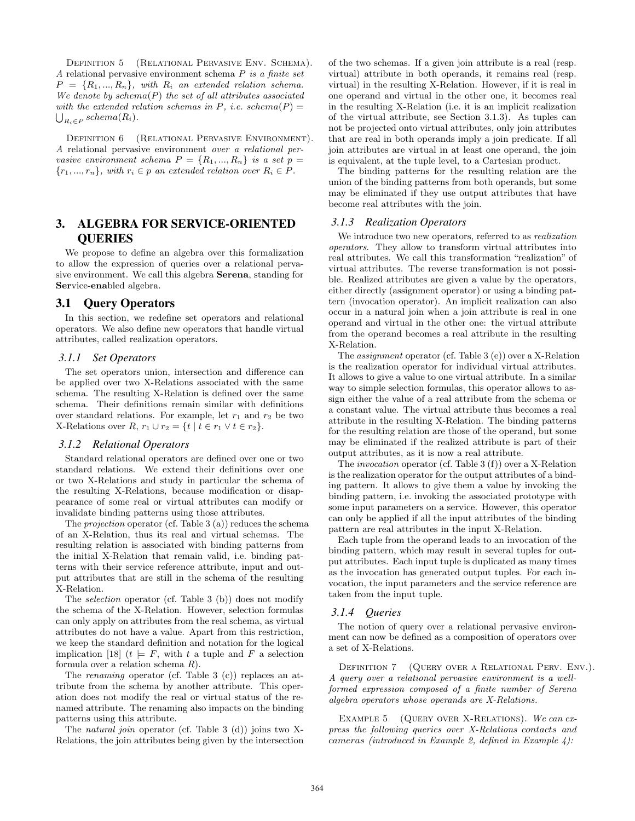Definition 5 (Relational Pervasive Env. Schema). A relational pervasive environment schema P is a finite set  $P = \{R_1, ..., R_n\}$ , with  $R_i$  an extended relation schema. We denote by  $schema(P)$  the set of all attributes associated  $\bigcup_{R_i \in P} schema(R_i).$ with the extended relation schemas in P, i.e. schema $(P) =$ 

DEFINITION 6 (RELATIONAL PERVASIVE ENVIRONMENT). A relational pervasive environment over a relational pervasive environment schema  $P = \{R_1, ..., R_n\}$  is a set  $p =$  ${r_1, ..., r_n}$ , with  $r_i \in p$  an extended relation over  $R_i \in P$ .

# 3. ALGEBRA FOR SERVICE-ORIENTED **QUERIES**

We propose to define an algebra over this formalization to allow the expression of queries over a relational pervasive environment. We call this algebra Serena, standing for Service-enabled algebra.

#### 3.1 Query Operators

In this section, we redefine set operators and relational operators. We also define new operators that handle virtual attributes, called realization operators.

#### *3.1.1 Set Operators*

The set operators union, intersection and difference can be applied over two X-Relations associated with the same schema. The resulting X-Relation is defined over the same schema. Their definitions remain similar with definitions over standard relations. For example, let  $r_1$  and  $r_2$  be two X-Relations over  $R$ ,  $r_1 \cup r_2 = \{t \mid t \in r_1 \vee t \in r_2\}.$ 

#### *3.1.2 Relational Operators*

Standard relational operators are defined over one or two standard relations. We extend their definitions over one or two X-Relations and study in particular the schema of the resulting X-Relations, because modification or disappearance of some real or virtual attributes can modify or invalidate binding patterns using those attributes.

The projection operator (cf. Table 3 (a)) reduces the schema of an X-Relation, thus its real and virtual schemas. The resulting relation is associated with binding patterns from the initial X-Relation that remain valid, i.e. binding patterns with their service reference attribute, input and output attributes that are still in the schema of the resulting X-Relation.

The selection operator (cf. Table 3 (b)) does not modify the schema of the X-Relation. However, selection formulas can only apply on attributes from the real schema, as virtual attributes do not have a value. Apart from this restriction, we keep the standard definition and notation for the logical implication [18]  $(t \models F$ , with t a tuple and F a selection formula over a relation schema R).

The renaming operator (cf. Table 3 (c)) replaces an attribute from the schema by another attribute. This operation does not modify the real or virtual status of the renamed attribute. The renaming also impacts on the binding patterns using this attribute.

The natural join operator (cf. Table 3 (d)) joins two X-Relations, the join attributes being given by the intersection of the two schemas. If a given join attribute is a real (resp. virtual) attribute in both operands, it remains real (resp. virtual) in the resulting X-Relation. However, if it is real in one operand and virtual in the other one, it becomes real in the resulting X-Relation (i.e. it is an implicit realization of the virtual attribute, see Section 3.1.3). As tuples can not be projected onto virtual attributes, only join attributes that are real in both operands imply a join predicate. If all join attributes are virtual in at least one operand, the join is equivalent, at the tuple level, to a Cartesian product.

The binding patterns for the resulting relation are the union of the binding patterns from both operands, but some may be eliminated if they use output attributes that have become real attributes with the join.

#### *3.1.3 Realization Operators*

We introduce two new operators, referred to as *realization* operators. They allow to transform virtual attributes into real attributes. We call this transformation "realization" of virtual attributes. The reverse transformation is not possible. Realized attributes are given a value by the operators, either directly (assignment operator) or using a binding pattern (invocation operator). An implicit realization can also occur in a natural join when a join attribute is real in one operand and virtual in the other one: the virtual attribute from the operand becomes a real attribute in the resulting X-Relation.

The *assignment* operator (cf. Table 3 (e)) over a X-Relation is the realization operator for individual virtual attributes. It allows to give a value to one virtual attribute. In a similar way to simple selection formulas, this operator allows to assign either the value of a real attribute from the schema or a constant value. The virtual attribute thus becomes a real attribute in the resulting X-Relation. The binding patterns for the resulting relation are those of the operand, but some may be eliminated if the realized attribute is part of their output attributes, as it is now a real attribute.

The invocation operator (cf. Table 3 (f)) over a X-Relation is the realization operator for the output attributes of a binding pattern. It allows to give them a value by invoking the binding pattern, i.e. invoking the associated prototype with some input parameters on a service. However, this operator can only be applied if all the input attributes of the binding pattern are real attributes in the input X-Relation.

Each tuple from the operand leads to an invocation of the binding pattern, which may result in several tuples for output attributes. Each input tuple is duplicated as many times as the invocation has generated output tuples. For each invocation, the input parameters and the service reference are taken from the input tuple.

#### *3.1.4 Queries*

The notion of query over a relational pervasive environment can now be defined as a composition of operators over a set of X-Relations.

DEFINITION 7 (QUERY OVER A RELATIONAL PERV. ENV.). A query over a relational pervasive environment is a wellformed expression composed of a finite number of Serena algebra operators whose operands are X-Relations.

EXAMPLE 5 (QUERY OVER X-RELATIONS). We can express the following queries over X-Relations contacts and cameras (introduced in Example 2, defined in Example 4):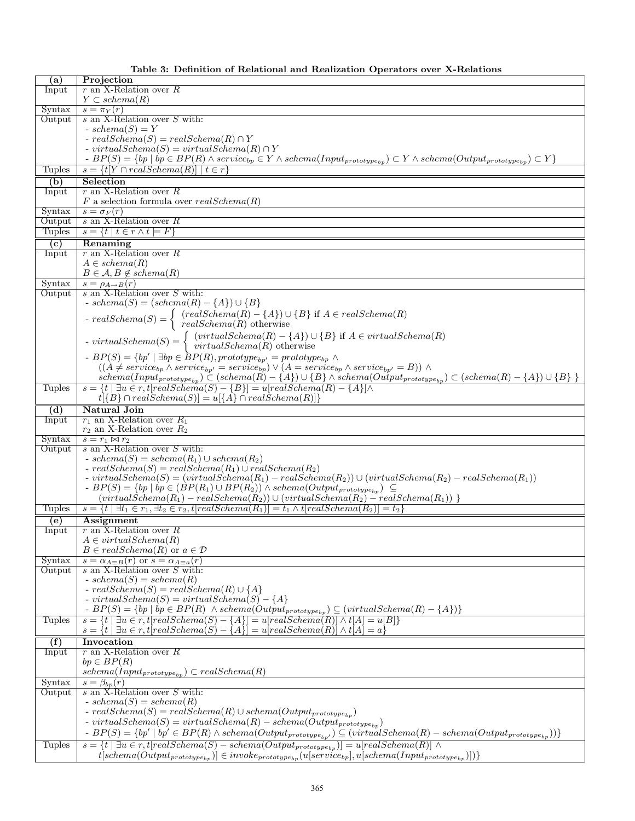|  |  |  |  |  |  |  | Table 3: Definition of Relational and Realization Operators over X-Relations |
|--|--|--|--|--|--|--|------------------------------------------------------------------------------|
|--|--|--|--|--|--|--|------------------------------------------------------------------------------|

| (a)              | Projection                                                                                                                                                                                                                                                                                                                                                                                                                                                                                                                   |
|------------------|------------------------------------------------------------------------------------------------------------------------------------------------------------------------------------------------------------------------------------------------------------------------------------------------------------------------------------------------------------------------------------------------------------------------------------------------------------------------------------------------------------------------------|
| Input            | $r$ an X-Relation over $R$                                                                                                                                                                                                                                                                                                                                                                                                                                                                                                   |
|                  | $Y \subset \mathit{schema}(R)$                                                                                                                                                                                                                                                                                                                                                                                                                                                                                               |
| Syntax           | $s = \pi_Y(r)$                                                                                                                                                                                                                                                                                                                                                                                                                                                                                                               |
| Output           | $s$ an X-Relation over $S$ with:                                                                                                                                                                                                                                                                                                                                                                                                                                                                                             |
|                  | $- schema(S) = Y$                                                                                                                                                                                                                                                                                                                                                                                                                                                                                                            |
|                  | $- real Schema(S) = real Schema(R) \cap Y$                                                                                                                                                                                                                                                                                                                                                                                                                                                                                   |
|                  | - virtual $Schema(S) = virtualSchema(R) \cap Y$                                                                                                                                                                                                                                                                                                                                                                                                                                                                              |
|                  | $-BP(S) = \{bp \mid bp \in BP(R) \land service_{bp} \in Y \land schema(Input_{prototype_{bp}}) \subset Y \land schema(Output_{prototype_{bp}}) \subset Y\}$                                                                                                                                                                                                                                                                                                                                                                  |
| Tuples           | $s = \{t Y \cap realSchema(R)  \mid t \in r\}$                                                                                                                                                                                                                                                                                                                                                                                                                                                                               |
|                  | Selection                                                                                                                                                                                                                                                                                                                                                                                                                                                                                                                    |
| (b)              |                                                                                                                                                                                                                                                                                                                                                                                                                                                                                                                              |
| Input            | $r$ an X-Relation over $R$                                                                                                                                                                                                                                                                                                                                                                                                                                                                                                   |
|                  | F a selection formula over $realSchema(R)$                                                                                                                                                                                                                                                                                                                                                                                                                                                                                   |
| Syntax           | $s = \sigma_F(r)$                                                                                                                                                                                                                                                                                                                                                                                                                                                                                                            |
| Output           | s an X-Relation over R                                                                                                                                                                                                                                                                                                                                                                                                                                                                                                       |
| <b>Tuples</b>    | $s = \{t \mid t \in r \wedge t = F\}$                                                                                                                                                                                                                                                                                                                                                                                                                                                                                        |
| (c)              | Renaming                                                                                                                                                                                                                                                                                                                                                                                                                                                                                                                     |
| Input            | $r$ an X-Relation over $R$                                                                                                                                                                                                                                                                                                                                                                                                                                                                                                   |
|                  | $A \in schema(R)$                                                                                                                                                                                                                                                                                                                                                                                                                                                                                                            |
|                  | $B \in \mathcal{A}, B \notin schema(R)$                                                                                                                                                                                                                                                                                                                                                                                                                                                                                      |
| Syntax           | $s = \rho_{A\rightarrow B}(r)$                                                                                                                                                                                                                                                                                                                                                                                                                                                                                               |
| Output           | $s$ an X-Relation over $S$ with:                                                                                                                                                                                                                                                                                                                                                                                                                                                                                             |
|                  | $- schema(S) = (schemea(R) - {A}) \cup {B}$                                                                                                                                                                                                                                                                                                                                                                                                                                                                                  |
|                  |                                                                                                                                                                                                                                                                                                                                                                                                                                                                                                                              |
|                  |                                                                                                                                                                                                                                                                                                                                                                                                                                                                                                                              |
|                  |                                                                                                                                                                                                                                                                                                                                                                                                                                                                                                                              |
|                  | $\begin{cases}\n\text{reals } (c) \quad (\text{cals } c) \quad (\text{cals } c) \quad (\text{cals } c) \quad (\text{cals } c) \quad (\text{cals } c) \quad (\text{cals } c) \quad (\text{cals } c) \quad (\text{dals } c) \quad (\text{dals } c) \quad (\text{dals } c) \quad (\text{dals } c) \quad (\text{dals } c) \quad (\text{dals } c) \quad (\text{dals } c) \quad (\text{dals } c) \quad (\text{dals } c) \quad (\text{eals } c) \quad (\text{eals } c) \quad (\text{eals } c) \quad (\text{eals } c) \quad (\text{$ |
|                  | $-BP(S) = \{bp' \mid \exists bp \in BP(R), prototype_{bp'} = prototype_{bp} \wedge$                                                                                                                                                                                                                                                                                                                                                                                                                                          |
|                  | $((A \neq service_{bp} \land service_{bp'} = service_{bp}) \lor (A = service_{bp} \land service_{bp'} = B)) \land$                                                                                                                                                                                                                                                                                                                                                                                                           |
|                  | $schema(Input_{prototype_{bp}}) \subset (schema(R) - \{A\}) \cup \{B\} \wedge schema(Output_{prototype_{bp}}) \subset (schema(R) - \{A\}) \cup \{B\}$                                                                                                                                                                                                                                                                                                                                                                        |
| <b>Tuples</b>    | $s = \{t \mid \exists u \in r, t[realSchema(S) - \{B\}] = u[realSchema(R) - \{A\}] \wedge$                                                                                                                                                                                                                                                                                                                                                                                                                                   |
|                  | $t[\{B\} \cap realSchema(S)] = u[\{A\} \cap realSchema(R)]\}$                                                                                                                                                                                                                                                                                                                                                                                                                                                                |
|                  |                                                                                                                                                                                                                                                                                                                                                                                                                                                                                                                              |
| (d)              | <b>Natural Join</b><br>$r_1$ an X-Relation over $R_1$                                                                                                                                                                                                                                                                                                                                                                                                                                                                        |
| Input            | $r_2$ an X-Relation over $R_2$                                                                                                                                                                                                                                                                                                                                                                                                                                                                                               |
| Syntax           | $s = r_1 \bowtie r_2$                                                                                                                                                                                                                                                                                                                                                                                                                                                                                                        |
| Output           | s an X-Relation over $S$ with:                                                                                                                                                                                                                                                                                                                                                                                                                                                                                               |
|                  | - $schema(S) = schema(R_1) \cup schema(R_2)$                                                                                                                                                                                                                                                                                                                                                                                                                                                                                 |
|                  | $- real Schema(S) = real Schema(R1) \cup real Schema(R2)$                                                                                                                                                                                                                                                                                                                                                                                                                                                                    |
|                  | - virtualSchema $(S) = (virtualSchema(R_1) - realSchema(R_2)) \cup (virtualSchema(R_2) - realSchema(R_1))$                                                                                                                                                                                                                                                                                                                                                                                                                   |
|                  | $-BP(S) = \{bp \mid bp \in (BP(R_1) \cup BP(R_2)) \land schema(Output_{prototype_{bp}}) \subseteq$                                                                                                                                                                                                                                                                                                                                                                                                                           |
|                  |                                                                                                                                                                                                                                                                                                                                                                                                                                                                                                                              |
| <b>Tuples</b>    | $(virtualSchema(R_1) - realSchema(R_2)) \cup (virtualSchema(R_2) - realSchema(R_1))$<br>$s = \{t \mid \exists t_1 \in r_1, \exists t_2 \in r_2, t[realSchema(R_1)] = t_1 \land t[realSchema(R_2)] = t_2\}$                                                                                                                                                                                                                                                                                                                   |
|                  |                                                                                                                                                                                                                                                                                                                                                                                                                                                                                                                              |
| (e)              | <b>Assignment</b>                                                                                                                                                                                                                                                                                                                                                                                                                                                                                                            |
| Input            | $r$ an X-Relation over $R$<br>$A \in virtualSchema(R)$                                                                                                                                                                                                                                                                                                                                                                                                                                                                       |
|                  | $B \in realSchema(R)$ or $a \in \mathcal{D}$                                                                                                                                                                                                                                                                                                                                                                                                                                                                                 |
|                  |                                                                                                                                                                                                                                                                                                                                                                                                                                                                                                                              |
| Syntax<br>Output | $s = \alpha_{A \equiv B}(r)$ or $s = \alpha_{A \equiv a}(r)$<br>$s$ an X-Relation over $S$ with:                                                                                                                                                                                                                                                                                                                                                                                                                             |
|                  | $- schema(S) = schema(R)$                                                                                                                                                                                                                                                                                                                                                                                                                                                                                                    |
|                  | $- real Schema(S) = real Schema(R) \cup \{A\}$                                                                                                                                                                                                                                                                                                                                                                                                                                                                               |
|                  | $- virtual Schema(S) = virtual Schema(S) - {A}$                                                                                                                                                                                                                                                                                                                                                                                                                                                                              |
|                  | $-BP(S) = \{bp \mid bp \in BP(R) \land schema(Output_{prototype_{bp}}) \subseteq (virtualSchema(R) - \{A\})\}$                                                                                                                                                                                                                                                                                                                                                                                                               |
| <b>Tuples</b>    | $s = \{t \mid \exists u \in r, t[realSchema(S) - \{A\}] = u[realSchema(R)] \wedge t[A] = u[B]\}$                                                                                                                                                                                                                                                                                                                                                                                                                             |
|                  | $s = \{t \mid \exists u \in r, t[realSchema(S) - \{A\}] = u[realSchema(R)] \wedge t[A] = a\}$                                                                                                                                                                                                                                                                                                                                                                                                                                |
|                  |                                                                                                                                                                                                                                                                                                                                                                                                                                                                                                                              |
| (f)              | Invocation                                                                                                                                                                                                                                                                                                                                                                                                                                                                                                                   |
| Input            | r an X-Relation over $R$                                                                                                                                                                                                                                                                                                                                                                                                                                                                                                     |
|                  | $bp \in BP(R)$                                                                                                                                                                                                                                                                                                                                                                                                                                                                                                               |
|                  | $schema(Input_{prototype_{bp}}) \subset realSchema(R)$                                                                                                                                                                                                                                                                                                                                                                                                                                                                       |
| Syntax           | $s = \beta_{bp}(r)$                                                                                                                                                                                                                                                                                                                                                                                                                                                                                                          |
| Output           | $s$ an X-Relation over $S$ with:                                                                                                                                                                                                                                                                                                                                                                                                                                                                                             |
|                  | $- schema(S) = schema(R)$                                                                                                                                                                                                                                                                                                                                                                                                                                                                                                    |
|                  | $-{\it realSchema}(S) = {\it realSchema}(R) \cup {\it schema}(Output_{\it prototype_{bp}})$                                                                                                                                                                                                                                                                                                                                                                                                                                  |
|                  | - virtual $Schema(S) = virtualSchema(R) - schema(Output_{prototype_{bp}})$                                                                                                                                                                                                                                                                                                                                                                                                                                                   |
|                  | $-BP(S) = \{ bp' \mid bp' \in BP(R) \land schema(Output_{prototype_{bp'}}) \subseteq (virtualSchema(R) - schema(Output_{prototype_{bp}})) \}$                                                                                                                                                                                                                                                                                                                                                                                |
| <b>Tuples</b>    |                                                                                                                                                                                                                                                                                                                                                                                                                                                                                                                              |
|                  | $s = \{t \mid \exists u \in r, t[realSchema(S) - schema(Output_{prototype_{bp}})] = u[realSchema(R)] \land$<br>$t[scheme (Output put prototype_{bp}})] \in invoke_{prototype_{bp}}(u[service_{bp}], u[scheme (Input prototype_{bp}}])])$                                                                                                                                                                                                                                                                                     |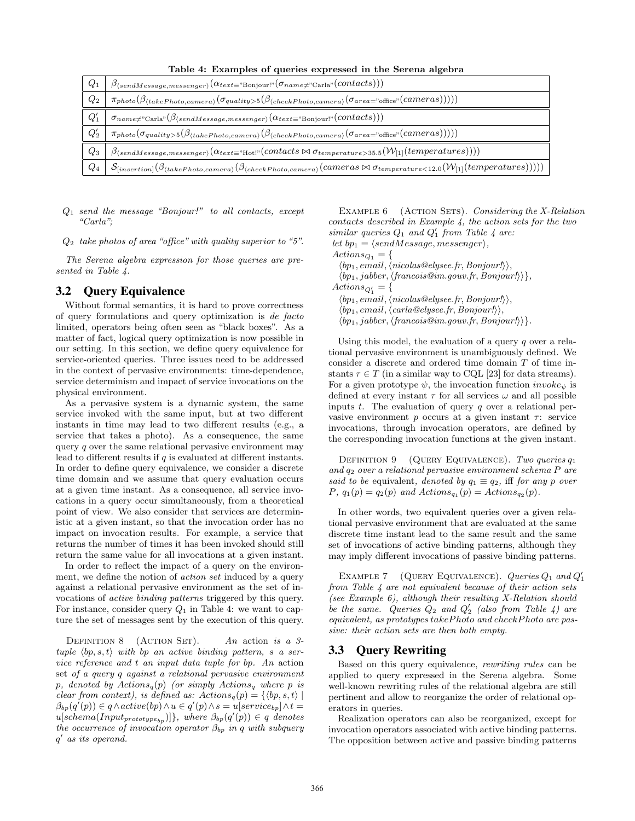Table 4: Examples of queries expressed in the Serena algebra

| $Q_1$  | $\beta_{\langle sendMessage, messenger \rangle}(\alpha_{text \{ext} \equiv \text{"Bonjour!"}(\sigma_{name \neq \text{"Carla"}}(contact s)))$                                          |
|--------|---------------------------------------------------------------------------------------------------------------------------------------------------------------------------------------|
| $Q_2$  | $\pi_{photo}(\beta_{(takePhoto, camera)}(\sigma_{quality>5}(\beta_{(checkPhoto, camera)}(\sigma_{area="office})(camera))))$                                                           |
| $Q'_1$ | $\sigma_{name \neq "Carla"}(\beta_{(sendMessage, messenger)}(\alpha_{text \equiv "Bonjour!"}(contacts)))$                                                                             |
| $Q'_2$ | $\pi_{photo}(\sigma_{quality>5}(\beta_{\langle takePhoto, camera\rangle}(\beta_{\langle checkPhoto, camera\rangle}(\sigma_{area="office}(cameras))))$                                 |
| $Q_3$  | $\mid \beta_{\langle sendMessage, message, message \rangle}(\alpha_{text=">Not: "}( contacts \bowtie \sigma_{temperature > 35.5}(W_{[1]}(temperatures))))$                            |
| $Q_4$  | $\mathcal{S}_{[insertion]}(\beta_{\langle takePhoto, camera\rangle}(\beta_{\langle checkPhoto, camera\rangle}(cameras \bowtie \sigma_{temperature < 12.0}(W_{[1]}(temperatures))))))$ |

 $Q_1$  send the message "Bonjour!" to all contacts, except "Carla";

 $Q_2$  take photos of area "office" with quality superior to "5".

The Serena algebra expression for those queries are presented in Table 4.

#### 3.2 Query Equivalence

Without formal semantics, it is hard to prove correctness of query formulations and query optimization is de facto limited, operators being often seen as "black boxes". As a matter of fact, logical query optimization is now possible in our setting. In this section, we define query equivalence for service-oriented queries. Three issues need to be addressed in the context of pervasive environments: time-dependence, service determinism and impact of service invocations on the physical environment.

As a pervasive system is a dynamic system, the same service invoked with the same input, but at two different instants in time may lead to two different results (e.g., a service that takes a photo). As a consequence, the same query  $q$  over the same relational pervasive environment may lead to different results if  $q$  is evaluated at different instants. In order to define query equivalence, we consider a discrete time domain and we assume that query evaluation occurs at a given time instant. As a consequence, all service invocations in a query occur simultaneously, from a theoretical point of view. We also consider that services are deterministic at a given instant, so that the invocation order has no impact on invocation results. For example, a service that returns the number of times it has been invoked should still return the same value for all invocations at a given instant.

In order to reflect the impact of a query on the environment, we define the notion of *action set* induced by a query against a relational pervasive environment as the set of invocations of active binding patterns triggered by this query. For instance, consider query  $Q_1$  in Table 4: we want to capture the set of messages sent by the execution of this query.

DEFINITION 8 (ACTION SET). An action is a 3tuple  $\langle bp, s, t \rangle$  with bp an active binding pattern, s a service reference and t an input data tuple for bp. An action set of a query q against a relational pervasive environment p, denoted by  $Actions_q(p)$  (or simply  $Actions_q$  where p is clear from context), is defined as:  $\text{Actions}_q(p) = \{ \langle bp, s, t \rangle \mid$  $\beta_{bp}(q'(p)) \in q \wedge active(bp) \wedge u \in q'(p) \wedge s = u[serve_{bp}] \wedge t =$  $u[schema(Input_{prototype_{bp}})]\},$  where  $\beta_{bp}(q'(p)) \in q$  denotes the occurrence of invocation operator  $\beta_{bp}$  in q with subquery q' as its operand.

EXAMPLE  $6$  (ACTION SETS). Considering the X-Relation  $contacts described in Example 4, the action sets for the two$ similar queries  $Q_1$  and  $Q'_1$  from Table 4 are: let  $bp_1 = \langle sendMessage, message \rangle,$ 

 $Actions_{Q_1} = \{$ 

 $\langle bp_1, email, \langle nicolas@elysee.fr, Bonjour!\rangle,$ 

 $\langle bp_1, jabber, \langle francois@im.gov.fr, Bonjour!\rangle\},$ 

 $\text{Actions}_{Q_1'} = \{$ 

 $\langle bp_1, email, \langle nicolas@elysee.fr, Bonjour! \rangle \rangle,$ 

 $\langle bp_1, email, \langle carla@elysee.fr, Bonjour!\rangle,$  $\langle bp_1, jabber, \langle francois@im.gov.fr, Bonjour!\rangle\}.$ 

Using this model, the evaluation of a query  $q$  over a relational pervasive environment is unambiguously defined. We consider a discrete and ordered time domain T of time instants  $\tau \in T$  (in a similar way to CQL [23] for data streams). For a given prototype  $\psi$ , the invocation function  $invoke_{\psi}$  is defined at every instant  $\tau$  for all services  $\omega$  and all possible inputs t. The evaluation of query q over a relational pervasive environment p occurs at a given instant  $\tau$ : service invocations, through invocation operators, are defined by the corresponding invocation functions at the given instant.

DEFINITION 9 (QUERY EQUIVALENCE). Two queries  $q_1$ and q<sup>2</sup> over a relational pervasive environment schema P are said to be equivalent, denoted by  $q_1 \equiv q_2$ , iff for any p over  $P, q_1(p) = q_2(p)$  and  $Actions_{q_1}(p) = Actions_{q_2}(p)$ .

In other words, two equivalent queries over a given relational pervasive environment that are evaluated at the same discrete time instant lead to the same result and the same set of invocations of active binding patterns, although they may imply different invocations of passive binding patterns.

EXAMPLE 7 (QUERY EQUIVALENCE). Queries  $Q_1$  and  $Q'_1$ from Table 4 are not equivalent because of their action sets (see Example 6), although their resulting X-Relation should be the same. Queries  $Q_2$  and  $Q'_2$  (also from Table 4) are equivalent, as prototypes takePhoto and checkPhoto are passive: their action sets are then both empty.

#### 3.3 Query Rewriting

Based on this query equivalence, rewriting rules can be applied to query expressed in the Serena algebra. Some well-known rewriting rules of the relational algebra are still pertinent and allow to reorganize the order of relational operators in queries.

Realization operators can also be reorganized, except for invocation operators associated with active binding patterns. The opposition between active and passive binding patterns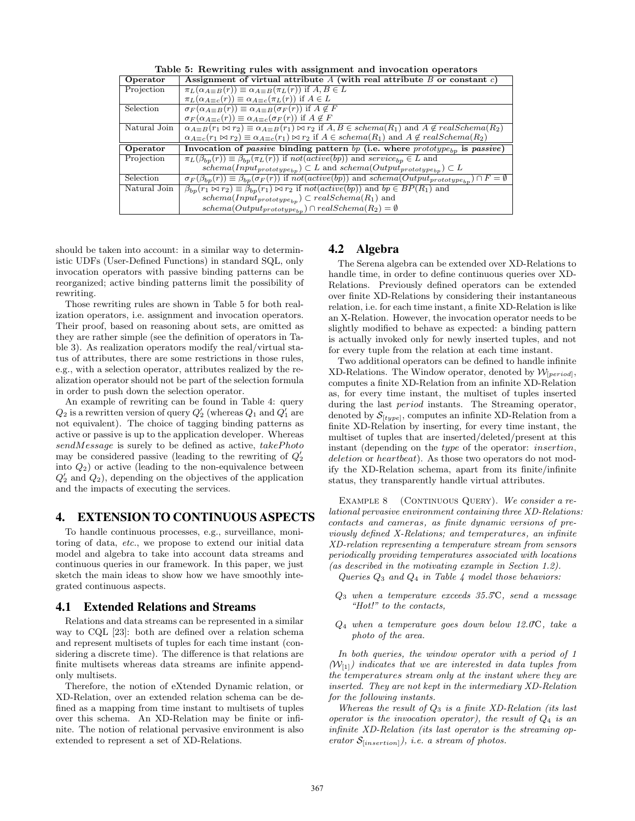|  |  | Table 5: Rewriting rules with assignment and invocation operators |
|--|--|-------------------------------------------------------------------|
|  |  |                                                                   |

|              | Table of Technicing Fulls with assignment and invocation operators                                                                                                       |
|--------------|--------------------------------------------------------------------------------------------------------------------------------------------------------------------------|
| Operator     | Assignment of virtual attribute A (with real attribute B or constant c)                                                                                                  |
| Projection   | $\pi_L(\alpha_{A\equiv B}(r)) \equiv \alpha_{A\equiv B}(\pi_L(r))$ if $A, B \in L$                                                                                       |
|              | $\pi_L(\alpha_{A=c}(r)) \equiv \alpha_{A=c}(\pi_L(r))$ if $A \in L$                                                                                                      |
| Selection    | $\sigma_F(\alpha_{A\equiv B}(r)) \equiv \alpha_{A\equiv B}(\sigma_F(r))$ if $A \not\in F$                                                                                |
|              | $\sigma_F(\alpha_{A\equiv c}(r)) \equiv \alpha_{A\equiv c}(\sigma_F(r))$ if $A \not\in F$                                                                                |
| Natural Join | $\alpha_{A\equiv B}(r_1 \bowtie r_2) \equiv \alpha_{A\equiv B}(r_1) \bowtie r_2$ if $A, B \in \mathcal{S}$ chema $(R_1)$ and $A \not\in \mathcal{S}$ real Schema $(R_2)$ |
|              | $\alpha_{A\equiv c}(r_1 \bowtie r_2) \equiv \alpha_{A\equiv c}(r_1) \bowtie r_2$ if $A \in \mathcal{S}$ chema $(R_1)$ and $A \notin \mathcal{S}$ real Schema $(R_2)$     |
|              |                                                                                                                                                                          |
| Operator     | Invocation of <i>passive</i> binding pattern bp (i.e. where $product_{bp}$ is <i>passive</i> )                                                                           |
| Projection   | $\pi_L(\beta_{bp}(r)) \equiv \beta_{bp}(\pi_L(r))$ if $not(active(bp))$ and $service_{bp} \in L$ and                                                                     |
|              | $schema(Input_{prototype_{bp}}) \subset L$ and $schema(Output_{prototype_{bp}}) \subset L$                                                                               |
| Selection    | $\sigma_F(\beta_{bp}(r)) \equiv \beta_{bp}(\sigma_F(r))$ if not(active(bp)) and schema(Output <sub>prototype<sub>bn</sub>) <math>\cap F = \emptyset</math></sub>         |
| Natural Join | $\beta_{bp}(r_1 \bowtie r_2) \equiv \beta_{bp}(r_1) \bowtie r_2$ if $not(active(bp))$ and $bp \in BP(R_1)$ and                                                           |
|              | $schema(Input_{prototype_{bp}}) \subset realSchema(R_1)$ and                                                                                                             |

should be taken into account: in a similar way to deterministic UDFs (User-Defined Functions) in standard SQL, only invocation operators with passive binding patterns can be reorganized; active binding patterns limit the possibility of rewriting.

Those rewriting rules are shown in Table 5 for both realization operators, i.e. assignment and invocation operators. Their proof, based on reasoning about sets, are omitted as they are rather simple (see the definition of operators in Table 3). As realization operators modify the real/virtual status of attributes, there are some restrictions in those rules, e.g., with a selection operator, attributes realized by the realization operator should not be part of the selection formula in order to push down the selection operator.

An example of rewriting can be found in Table 4: query  $Q_2$  is a rewritten version of query  $Q'_2$  (whereas  $Q_1$  and  $Q'_1$  are not equivalent). The choice of tagging binding patterns as active or passive is up to the application developer. Whereas  $sendMessage$  is surely to be defined as active,  $takePhoto$ may be considered passive (leading to the rewriting of  $Q'_2$ into  $Q_2$ ) or active (leading to the non-equivalence between  $Q'_2$  and  $Q_2$ ), depending on the objectives of the application and the impacts of executing the services.

#### 4. EXTENSION TO CONTINUOUS ASPECTS

To handle continuous processes, e.g., surveillance, monitoring of data, etc., we propose to extend our initial data model and algebra to take into account data streams and continuous queries in our framework. In this paper, we just sketch the main ideas to show how we have smoothly integrated continuous aspects.

#### 4.1 Extended Relations and Streams

Relations and data streams can be represented in a similar way to CQL [23]: both are defined over a relation schema and represent multisets of tuples for each time instant (considering a discrete time). The difference is that relations are finite multisets whereas data streams are infinite appendonly multisets.

Therefore, the notion of eXtended Dynamic relation, or XD-Relation, over an extended relation schema can be defined as a mapping from time instant to multisets of tuples over this schema. An XD-Relation may be finite or infinite. The notion of relational pervasive environment is also extended to represent a set of XD-Relations.

#### 4.2 Algebra

The Serena algebra can be extended over XD-Relations to handle time, in order to define continuous queries over XD-Relations. Previously defined operators can be extended over finite XD-Relations by considering their instantaneous relation, i.e. for each time instant, a finite XD-Relation is like an X-Relation. However, the invocation operator needs to be slightly modified to behave as expected: a binding pattern is actually invoked only for newly inserted tuples, and not for every tuple from the relation at each time instant.

Two additional operators can be defined to handle infinite XD-Relations. The Window operator, denoted by  $\mathcal{W}_{[period]}$ , computes a finite XD-Relation from an infinite XD-Relation as, for every time instant, the multiset of tuples inserted during the last period instants. The Streaming operator, denoted by  $\mathcal{S}_{[type]}$ , computes an infinite XD-Relation from a finite XD-Relation by inserting, for every time instant, the multiset of tuples that are inserted/deleted/present at this instant (depending on the type of the operator: insertion, deletion or heartbeat). As those two operators do not modify the XD-Relation schema, apart from its finite/infinite status, they transparently handle virtual attributes.

EXAMPLE 8 (CONTINUOUS QUERY). We consider a relational pervasive environment containing three XD-Relations: contacts and cameras, as finite dynamic versions of previously defined X-Relations; and temperatures, an infinite XD-relation representing a temperature stream from sensors periodically providing temperatures associated with locations (as described in the motivating example in Section 1.2).

Queries  $Q_3$  and  $Q_4$  in Table 4 model those behaviors:

- $Q_3$  when a temperature exceeds 35.5°C, send a message "Hot!" to the contacts,
- $Q_4$  when a temperature goes down below 12.0°C, take a photo of the area.

In both queries, the window operator with a period of 1  $(W_{[1]})$  indicates that we are interested in data tuples from the temperatures stream only at the instant where they are inserted. They are not kept in the intermediary XD-Relation for the following instants.

Whereas the result of  $Q_3$  is a finite XD-Relation (its last operator is the invocation operator), the result of  $Q_4$  is an infinite XD-Relation (its last operator is the streaming operator  $S_{[insertion]}$ , *i.e.* a stream of photos.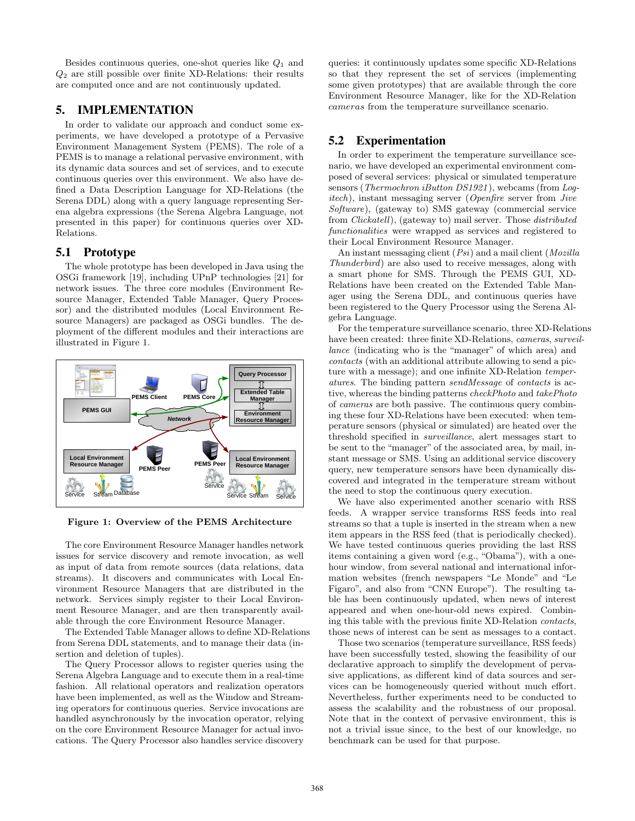Besides continuous queries, one-shot queries like  $Q_1$  and  $Q_2$  are still possible over finite XD-Relations: their results are computed once and are not continuously updated.

## 5. IMPLEMENTATION

In order to validate our approach and conduct some experiments, we have developed a prototype of a Pervasive Environment Management System (PEMS). The role of a PEMS is to manage a relational pervasive environment, with its dynamic data sources and set of services, and to execute continuous queries over this environment. We also have defined a Data Description Language for XD-Relations (the Serena DDL) along with a query language representing Serena algebra expressions (the Serena Algebra Language, not presented in this paper) for continuous queries over XD-Relations.

## 5.1 Prototype

The whole prototype has been developed in Java using the OSGi framework [19], including UPnP technologies [21] for network issues. The three core modules (Environment Resource Manager, Extended Table Manager, Query Processor) and the distributed modules (Local Environment Resource Managers) are packaged as OSGi bundles. The deployment of the different modules and their interactions are illustrated in Figure 1.



Figure 1: Overview of the PEMS Architecture

The core Environment Resource Manager handles network issues for service discovery and remote invocation, as well as input of data from remote sources (data relations, data streams). It discovers and communicates with Local Environment Resource Managers that are distributed in the network. Services simply register to their Local Environment Resource Manager, and are then transparently available through the core Environment Resource Manager.

The Extended Table Manager allows to define XD-Relations from Serena DDL statements, and to manage their data (insertion and deletion of tuples).

The Query Processor allows to register queries using the Serena Algebra Language and to execute them in a real-time fashion. All relational operators and realization operators have been implemented, as well as the Window and Streaming operators for continuous queries. Service invocations are handled asynchronously by the invocation operator, relying on the core Environment Resource Manager for actual invocations. The Query Processor also handles service discovery queries: it continuously updates some specific XD-Relations so that they represent the set of services (implementing some given prototypes) that are available through the core Environment Resource Manager, like for the XD-Relation cameras from the temperature surveillance scenario.

## 5.2 Experimentation

In order to experiment the temperature surveillance scenario, we have developed an experimental environment composed of several services: physical or simulated temperature sensors (*Thermochron iButton DS1921*), webcams (from Logitech), instant messaging server (Openfire server from Jive Software), (gateway to) SMS gateway (commercial service from Clickatell), (gateway to) mail server. Those distributed functionalities were wrapped as services and registered to their Local Environment Resource Manager.

An instant messaging client (*Psi*) and a mail client (*Mozilla*) Thunderbird) are also used to receive messages, along with a smart phone for SMS. Through the PEMS GUI, XD-Relations have been created on the Extended Table Manager using the Serena DDL, and continuous queries have been registered to the Query Processor using the Serena Algebra Language.

For the temperature surveillance scenario, three XD-Relations have been created: three finite XD-Relations, cameras, surveillance (indicating who is the "manager" of which area) and contacts (with an additional attribute allowing to send a picture with a message); and one infinite XD-Relation temperatures. The binding pattern sendMessage of contacts is active, whereas the binding patterns checkPhoto and takePhoto of cameras are both passive. The continuous query combining these four XD-Relations have been executed: when temperature sensors (physical or simulated) are heated over the threshold specified in surveillance, alert messages start to be sent to the "manager" of the associated area, by mail, instant message or SMS. Using an additional service discovery query, new temperature sensors have been dynamically discovered and integrated in the temperature stream without the need to stop the continuous query execution.

We have also experimented another scenario with RSS feeds. A wrapper service transforms RSS feeds into real streams so that a tuple is inserted in the stream when a new item appears in the RSS feed (that is periodically checked). We have tested continuous queries providing the last RSS items containing a given word (e.g., "Obama"), with a onehour window, from several national and international information websites (french newspapers "Le Monde" and "Le Figaro", and also from "CNN Europe"). The resulting table has been continuously updated, when news of interest appeared and when one-hour-old news expired. Combining this table with the previous finite XD-Relation contacts, those news of interest can be sent as messages to a contact.

Those two scenarios (temperature surveillance, RSS feeds) have been successfully tested, showing the feasibility of our declarative approach to simplify the development of pervasive applications, as different kind of data sources and services can be homogeneously queried without much effort. Nevertheless, further experiments need to be conducted to assess the scalability and the robustness of our proposal. Note that in the context of pervasive environment, this is not a trivial issue since, to the best of our knowledge, no benchmark can be used for that purpose.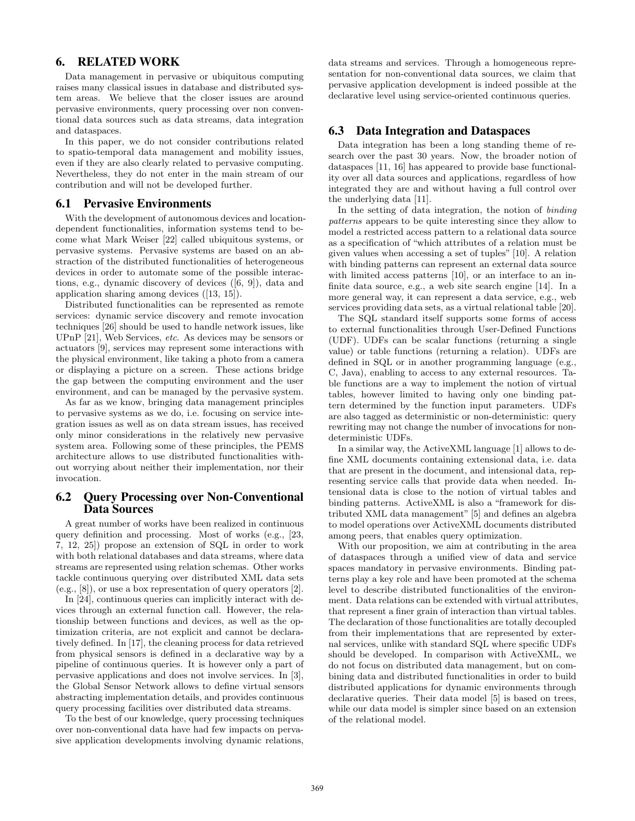## 6. RELATED WORK

Data management in pervasive or ubiquitous computing raises many classical issues in database and distributed system areas. We believe that the closer issues are around pervasive environments, query processing over non conventional data sources such as data streams, data integration and dataspaces.

In this paper, we do not consider contributions related to spatio-temporal data management and mobility issues, even if they are also clearly related to pervasive computing. Nevertheless, they do not enter in the main stream of our contribution and will not be developed further.

#### 6.1 Pervasive Environments

With the development of autonomous devices and locationdependent functionalities, information systems tend to become what Mark Weiser [22] called ubiquitous systems, or pervasive systems. Pervasive systems are based on an abstraction of the distributed functionalities of heterogeneous devices in order to automate some of the possible interactions, e.g., dynamic discovery of devices ([6, 9]), data and application sharing among devices ([13, 15]).

Distributed functionalities can be represented as remote services: dynamic service discovery and remote invocation techniques [26] should be used to handle network issues, like UPnP [21], Web Services, etc. As devices may be sensors or actuators [9], services may represent some interactions with the physical environment, like taking a photo from a camera or displaying a picture on a screen. These actions bridge the gap between the computing environment and the user environment, and can be managed by the pervasive system.

As far as we know, bringing data management principles to pervasive systems as we do, i.e. focusing on service integration issues as well as on data stream issues, has received only minor considerations in the relatively new pervasive system area. Following some of these principles, the PEMS architecture allows to use distributed functionalities without worrying about neither their implementation, nor their invocation.

#### 6.2 Query Processing over Non-Conventional Data Sources

A great number of works have been realized in continuous query definition and processing. Most of works (e.g., [23, 7, 12, 25]) propose an extension of SQL in order to work with both relational databases and data streams, where data streams are represented using relation schemas. Other works tackle continuous querying over distributed XML data sets (e.g., [8]), or use a box representation of query operators [2].

In [24], continuous queries can implicitly interact with devices through an external function call. However, the relationship between functions and devices, as well as the optimization criteria, are not explicit and cannot be declaratively defined. In [17], the cleaning process for data retrieved from physical sensors is defined in a declarative way by a pipeline of continuous queries. It is however only a part of pervasive applications and does not involve services. In [3], the Global Sensor Network allows to define virtual sensors abstracting implementation details, and provides continuous query processing facilities over distributed data streams.

To the best of our knowledge, query processing techniques over non-conventional data have had few impacts on pervasive application developments involving dynamic relations,

data streams and services. Through a homogeneous representation for non-conventional data sources, we claim that pervasive application development is indeed possible at the declarative level using service-oriented continuous queries.

## 6.3 Data Integration and Dataspaces

Data integration has been a long standing theme of research over the past 30 years. Now, the broader notion of dataspaces [11, 16] has appeared to provide base functionality over all data sources and applications, regardless of how integrated they are and without having a full control over the underlying data [11].

In the setting of data integration, the notion of binding patterns appears to be quite interesting since they allow to model a restricted access pattern to a relational data source as a specification of "which attributes of a relation must be given values when accessing a set of tuples" [10]. A relation with binding patterns can represent an external data source with limited access patterns [10], or an interface to an infinite data source, e.g., a web site search engine [14]. In a more general way, it can represent a data service, e.g., web services providing data sets, as a virtual relational table [20].

The SQL standard itself supports some forms of access to external functionalities through User-Defined Functions (UDF). UDFs can be scalar functions (returning a single value) or table functions (returning a relation). UDFs are defined in SQL or in another programming language (e.g., C, Java), enabling to access to any external resources. Table functions are a way to implement the notion of virtual tables, however limited to having only one binding pattern determined by the function input parameters. UDFs are also tagged as deterministic or non-deterministic: query rewriting may not change the number of invocations for nondeterministic UDFs.

In a similar way, the ActiveXML language [1] allows to define XML documents containing extensional data, i.e. data that are present in the document, and intensional data, representing service calls that provide data when needed. Intensional data is close to the notion of virtual tables and binding patterns. ActiveXML is also a "framework for distributed XML data management" [5] and defines an algebra to model operations over ActiveXML documents distributed among peers, that enables query optimization.

With our proposition, we aim at contributing in the area of dataspaces through a unified view of data and service spaces mandatory in pervasive environments. Binding patterns play a key role and have been promoted at the schema level to describe distributed functionalities of the environment. Data relations can be extended with virtual attributes, that represent a finer grain of interaction than virtual tables. The declaration of those functionalities are totally decoupled from their implementations that are represented by external services, unlike with standard SQL where specific UDFs should be developed. In comparison with ActiveXML, we do not focus on distributed data management, but on combining data and distributed functionalities in order to build distributed applications for dynamic environments through declarative queries. Their data model [5] is based on trees, while our data model is simpler since based on an extension of the relational model.